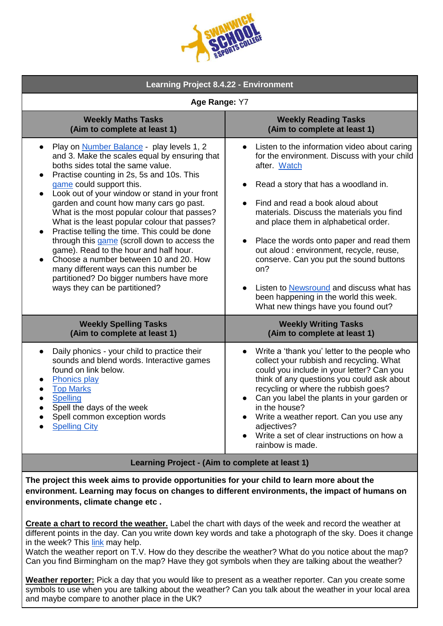| <b>ATS COLLEGE</b> |
|--------------------|
|--------------------|

| <b>Learning Project 8.4.22 - Environment</b>                                                                                                                                                                                                                                                                                                                                                                                                                                                                                                                                                                                                                                                                                           |                                                                                                                                                                                                                                                                                                                                                                                                                                                                                                                                                              |
|----------------------------------------------------------------------------------------------------------------------------------------------------------------------------------------------------------------------------------------------------------------------------------------------------------------------------------------------------------------------------------------------------------------------------------------------------------------------------------------------------------------------------------------------------------------------------------------------------------------------------------------------------------------------------------------------------------------------------------------|--------------------------------------------------------------------------------------------------------------------------------------------------------------------------------------------------------------------------------------------------------------------------------------------------------------------------------------------------------------------------------------------------------------------------------------------------------------------------------------------------------------------------------------------------------------|
| Age Range: Y7                                                                                                                                                                                                                                                                                                                                                                                                                                                                                                                                                                                                                                                                                                                          |                                                                                                                                                                                                                                                                                                                                                                                                                                                                                                                                                              |
| <b>Weekly Maths Tasks</b><br>(Aim to complete at least 1)                                                                                                                                                                                                                                                                                                                                                                                                                                                                                                                                                                                                                                                                              | <b>Weekly Reading Tasks</b><br>(Aim to complete at least 1)                                                                                                                                                                                                                                                                                                                                                                                                                                                                                                  |
| Play on <b>Number Balance</b> - play levels 1, 2<br>and 3. Make the scales equal by ensuring that<br>boths sides total the same value.<br>Practise counting in 2s, 5s and 10s. This<br>game could support this.<br>Look out of your window or stand in your front<br>garden and count how many cars go past.<br>What is the most popular colour that passes?<br>What is the least popular colour that passes?<br>Practise telling the time. This could be done<br>$\bullet$<br>through this game (scroll down to access the<br>game). Read to the hour and half hour.<br>Choose a number between 10 and 20. How<br>many different ways can this number be<br>partitioned? Do bigger numbers have more<br>ways they can be partitioned? | Listen to the information video about caring<br>for the environment. Discuss with your child<br>after. Watch<br>Read a story that has a woodland in.<br>Find and read a book aloud about<br>materials. Discuss the materials you find<br>and place them in alphabetical order.<br>Place the words onto paper and read them<br>out aloud : environment, recycle, reuse,<br>conserve. Can you put the sound buttons<br>on?<br>Listen to <b>Newsround</b> and discuss what has<br>been happening in the world this week.<br>What new things have you found out? |
| <b>Weekly Spelling Tasks</b><br>(Aim to complete at least 1)                                                                                                                                                                                                                                                                                                                                                                                                                                                                                                                                                                                                                                                                           | <b>Weekly Writing Tasks</b><br>(Aim to complete at least 1)                                                                                                                                                                                                                                                                                                                                                                                                                                                                                                  |
| Daily phonics - your child to practice their<br>sounds and blend words. Interactive games<br>found on link below.<br><b>Phonics play</b><br><b>Top Marks</b><br><b>Spelling</b><br>Spell the days of the week<br>Spell common exception words<br><b>Spelling City</b>                                                                                                                                                                                                                                                                                                                                                                                                                                                                  | Write a 'thank you' letter to the people who<br>collect your rubbish and recycling. What<br>could you include in your letter? Can you<br>think of any questions you could ask about<br>recycling or where the rubbish goes?<br>Can you label the plants in your garden or<br>in the house?<br>Write a weather report. Can you use any<br>adjectives?<br>Write a set of clear instructions on how a<br>rainbow is made.                                                                                                                                       |

**The project this week aims to provide opportunities for your child to learn more about the environment. Learning may focus on changes to different environments, the impact of humans on environments, climate change etc .**

**Create a chart to record the weather.** Label the chart with days of the week and record the weather at different points in the day. Can you write down key words and take a photograph of the sky. Does it change in the week? This [link](https://www.topmarks.co.uk/Interactive.aspx?cat=93) may help.

Watch the weather report on T.V. How do they describe the weather? What do you notice about the map? Can you find Birmingham on the map? Have they got symbols when they are talking about the weather?

**Weather reporter:** Pick a day that you would like to present as a weather reporter. Can you create some symbols to use when you are talking about the weather? Can you talk about the weather in your local area and maybe compare to another place in the UK?